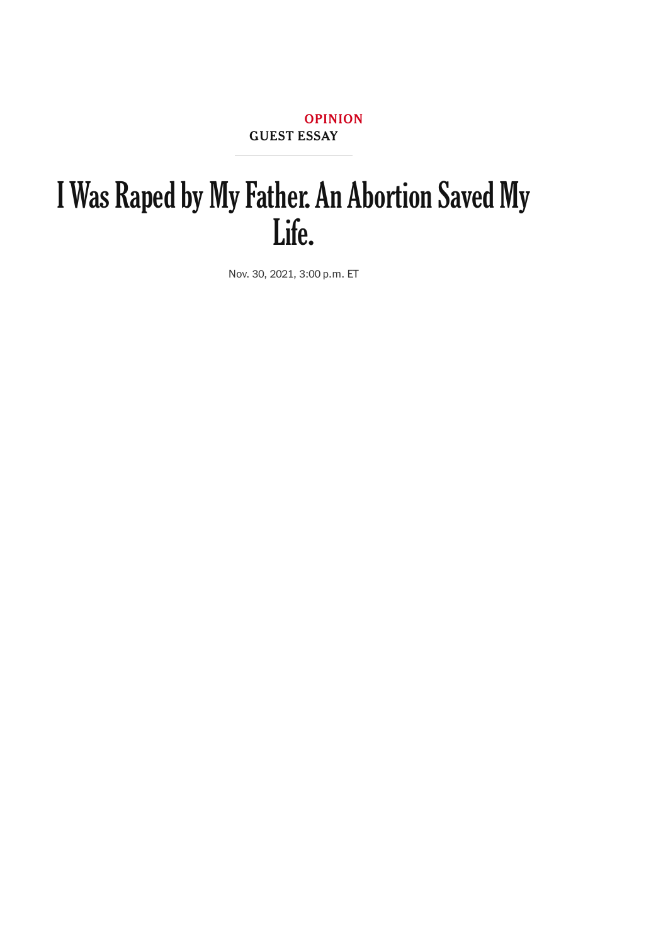[OPINION](https://www.nytimes.com/section/opinion) GUEST ESSAY

# I Was Raped by My Father. An Abortion Saved My Life.

Nov. 30, 2021, 3:00 p.m. ET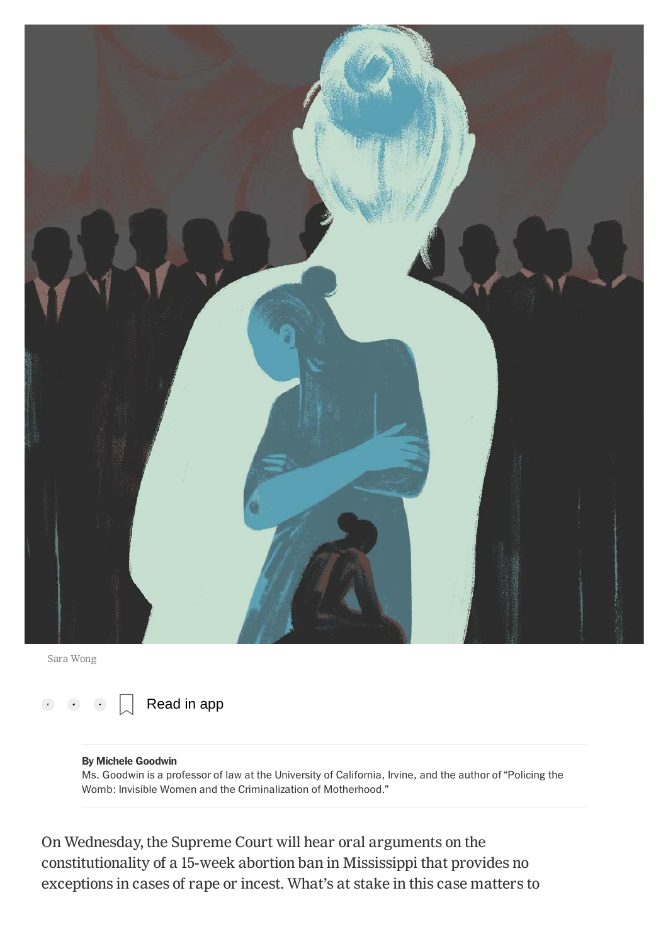

Sara Wong



#### By Michele Goodwin

Ms. Goodwin is a professor of law at the University of California, Irvine, and the author of "Policing the Womb: Invisible Women and the Criminalization of Motherhood."

On Wednesday, the Supreme Court will hear oral arguments on the constitutionality of a 15-week abortion ban in Mississippi that provides no exceptions in cases of rape or incest. What's at stake in this case matters to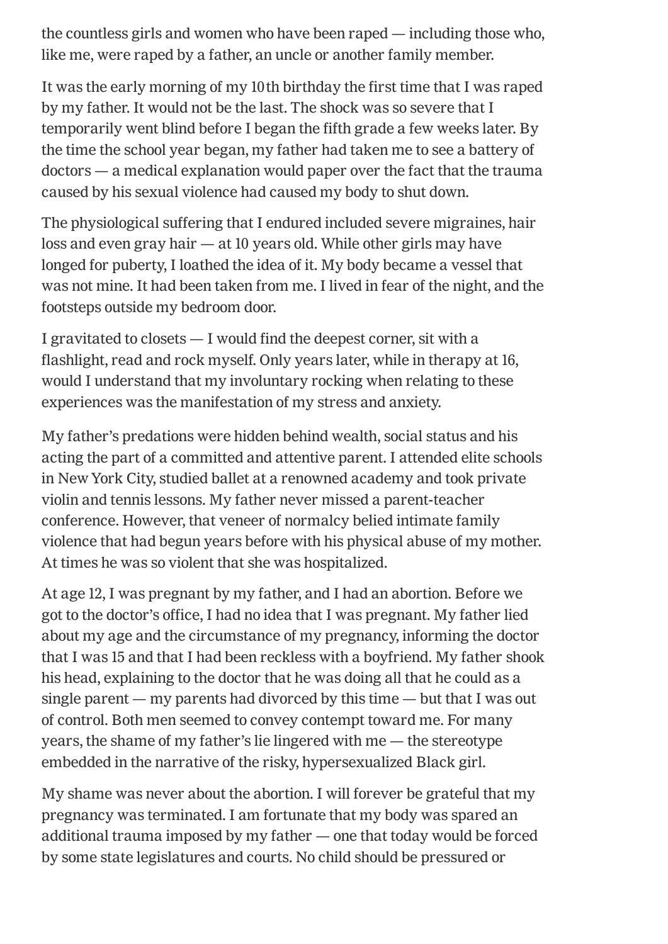the countless girls and women who have been raped — including those who, like me, were raped by a father, an uncle or another family member.

It was the early morning of my 10th birthday the first time that I was raped by my father. It would not be the last. The shock was so severe that I temporarily went blind before I began the fifth grade a few weeks later. By the time the school year began, my father had taken me to see a battery of doctors — a medical explanation would paper over the fact that the trauma caused by his sexual violence had caused my body to shut down.

The physiological suffering that I endured included severe migraines, hair loss and even gray hair — at 10 years old. While other girls may have longed for puberty, I loathed the idea of it. My body became a vessel that was not mine. It had been taken from me. I lived in fear of the night, and the footsteps outside my bedroom door.

I gravitated to closets — I would find the deepest corner, sit with a flashlight, read and rock myself. Only years later, while in therapy at 16, would I understand that my involuntary rocking when relating to these experiences was the manifestation of my stress and anxiety.

My father's predations were hidden behind wealth, social status and his acting the part of a committed and attentive parent. I attended elite schools in New York City, studied ballet at a renowned academy and took private violin and tennis lessons. My father never missed a parent-teacher conference. However, that veneer of normalcy belied intimate family violence that had begun years before with his physical abuse of my mother. At times he was so violent that she was hospitalized.

At age 12, I was pregnant by my father, and I had an abortion. Before we got to the doctor's office, I had no idea that I was pregnant. My father lied about my age and the circumstance of my pregnancy, informing the doctor that I was 15 and that I had been reckless with a boyfriend. My father shook his head, explaining to the doctor that he was doing all that he could as a single parent — my parents had divorced by this time — but that I was out of control. Both men seemed to convey contempt toward me. For many years, the shame of my father's lie lingered with me — the stereotype embedded in the narrative of the risky, hypersexualized Black girl.

My shame was never about the abortion. I will forever be grateful that my pregnancy was terminated. I am fortunate that my body was spared an additional trauma imposed by my father — one that today would be forced by some state legislatures and courts. No child should be pressured or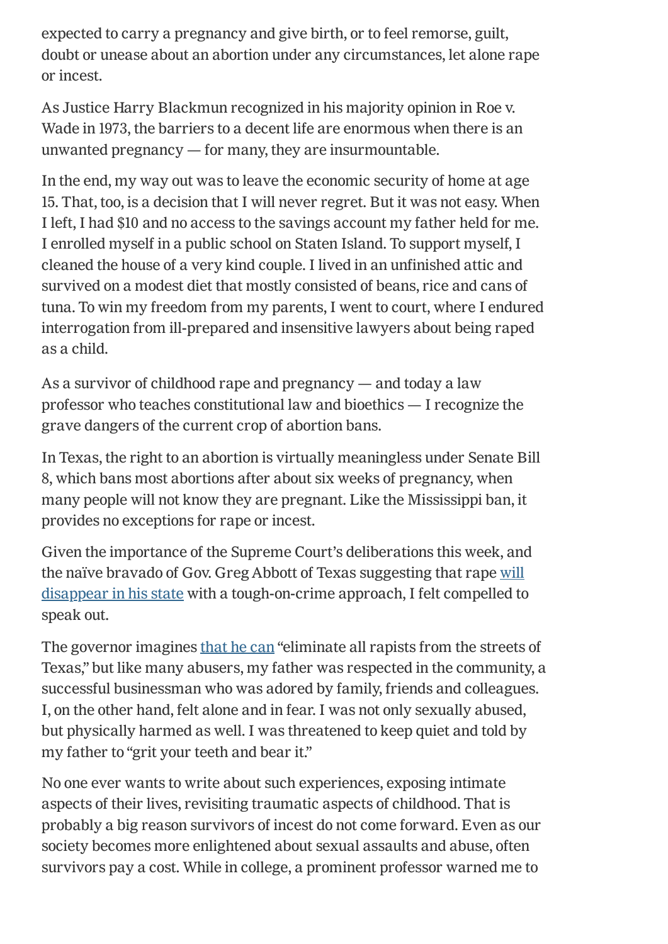expected to carry a pregnancy and give birth, or to feel remorse, guilt, doubt or unease about an abortion under any circumstances, let alone rape or incest.

As Justice Harry Blackmun recognized in his majority opinion in Roe v. Wade in 1973, the barriers to a decent life are enormous when there is an unwanted pregnancy — for many, they are insurmountable.

In the end, my way out was to leave the economic security of home at age 15. That, too, is a decision that I will never regret. But it was not easy. When I left, I had \$10 and no access to the savings account my father held for me. I enrolled myself in a public school on Staten Island. To support myself, I cleaned the house of a very kind couple. I lived in an unfinished attic and survived on a modest diet that mostly consisted of beans, rice and cans of tuna. To win my freedom from my parents, I went to court, where I endured interrogation from ill-prepared and insensitive lawyers about being raped as a child.

As a survivor of childhood rape and pregnancy — and today a law professor who teaches constitutional law and bioethics — I recognize the grave dangers of the current crop of abortion bans.

In Texas, the right to an abortion is virtually meaningless under Senate Bill 8, which bans most abortions after about six weeks of pregnancy, when many people will not know they are pregnant. Like the Mississippi ban, it provides no exceptions for rape or incest.

Given the importance of the Supreme Court's deliberations this week, and the naïve bravado of Gov. Greg Abbott of Texas suggesting that rape will [disappear in his state with a tough-on-crime approach, I felt compelled to](https://www.npr.org/2021/09/08/1035119369/fact-check-texas-gov-greg-abbotts-misleading-remarks-on-the-states-abortion-law) speak out.

The governor imagines [that he can](https://www.npr.org/2021/09/08/1035119369/fact-check-texas-gov-greg-abbotts-misleading-remarks-on-the-states-abortion-law) "eliminate all rapists from the streets of Texas," but like many abusers, my father was respected in the community, a successful businessman who was adored by family, friends and colleagues. I, on the other hand, felt alone and in fear. I was not only sexually abused, but physically harmed as well. I was threatened to keep quiet and told by my father to "grit your teeth and bear it."

No one ever wants to write about such experiences, exposing intimate aspects of their lives, revisiting traumatic aspects of childhood. That is probably a big reason survivors of incest do not come forward. Even as our society becomes more enlightened about sexual assaults and abuse, often survivors pay a cost. While in college, a prominent professor warned me to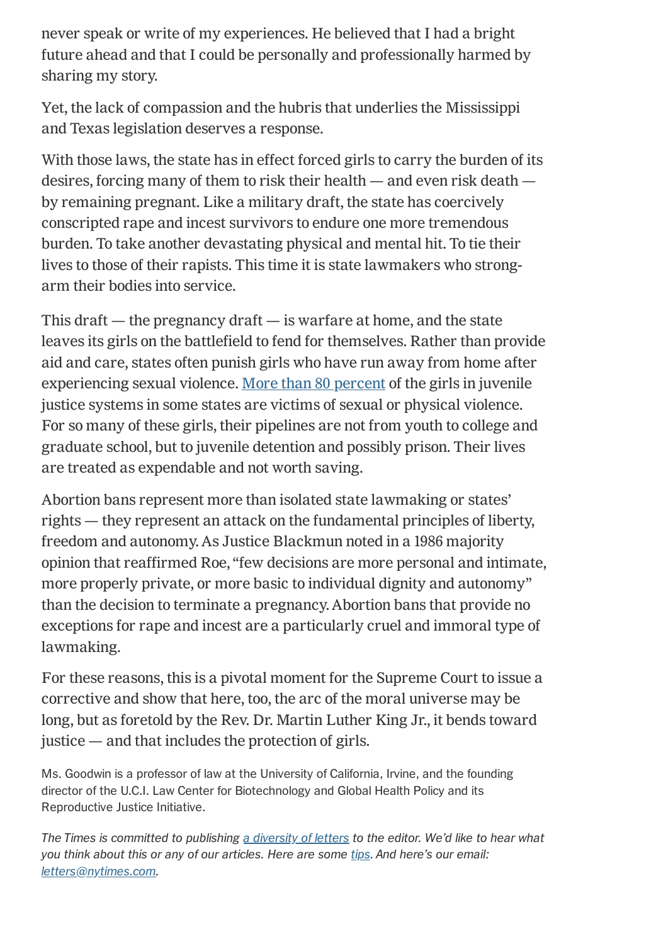never speak or write of my experiences. He believed that I had a bright future ahead and that I could be personally and professionally harmed by sharing my story.

Yet, the lack of compassion and the hubris that underlies the Mississippi and Texas legislation deserves a response.

With those laws, the state has in effect forced girls to carry the burden of its desires, forcing many of them to risk their health — and even risk death by remaining pregnant. Like a military draft, the state has coercively conscripted rape and incest survivors to endure one more tremendous burden. To take another devastating physical and mental hit. To tie their lives to those of their rapists. This time it is state lawmakers who strongarm their bodies into service.

This draft  $-$  the pregnancy draft  $-$  is warfare at home, and the state leaves its girls on the battlefield to fend for themselves. Rather than provide aid and care, states often punish girls who have run away from home after experiencing sexual violence. [More than 80 percent](https://rights4girls.org/wp-content/uploads/r4g/2015/02/2015_COP_sexual-abuse_layout_web-1.pdf) of the girls in juvenile justice systems in some states are victims of sexual or physical violence. For so many of these girls, their pipelines are not from youth to college and graduate school, but to juvenile detention and possibly prison. Their lives are treated as expendable and not worth saving.

Abortion bans represent more than isolated state lawmaking or states' rights — they represent an attack on the fundamental principles of liberty, freedom and autonomy. As Justice Blackmun noted in a 1986 majority opinion that reaffirmed Roe, "few decisions are more personal and intimate, more properly private, or more basic to individual dignity and autonomy" than the decision to terminate a pregnancy. Abortion bans that provide no exceptions for rape and incest are a particularly cruel and immoral type of lawmaking.

For these reasons, this is a pivotal moment for the Supreme Court to issue a corrective and show that here, too, the arc of the moral universe may be long, but as foretold by the Rev. Dr. Martin Luther King Jr., it bends toward justice — and that includes the protection of girls.

Ms. Goodwin is a professor of law at the University of California, Irvine, and the founding director of the U.C.I. Law Center for Biotechnology and Global Health Policy and its Reproductive Justice Initiative.

The Times is committed to publishing [a diversity of letters](https://www.nytimes.com/2019/01/31/opinion/letters/letters-to-editor-new-york-times-women.html) to the editor. We'd like to hear what you think about this or any of our articles. Here are some [tips](https://help.nytimes.com/hc/en-us/articles/115014925288-How-to-submit-a-letter-to-the-editor). And here's our email: [letters@nytimes.com](mailto:letters@nytimes.com).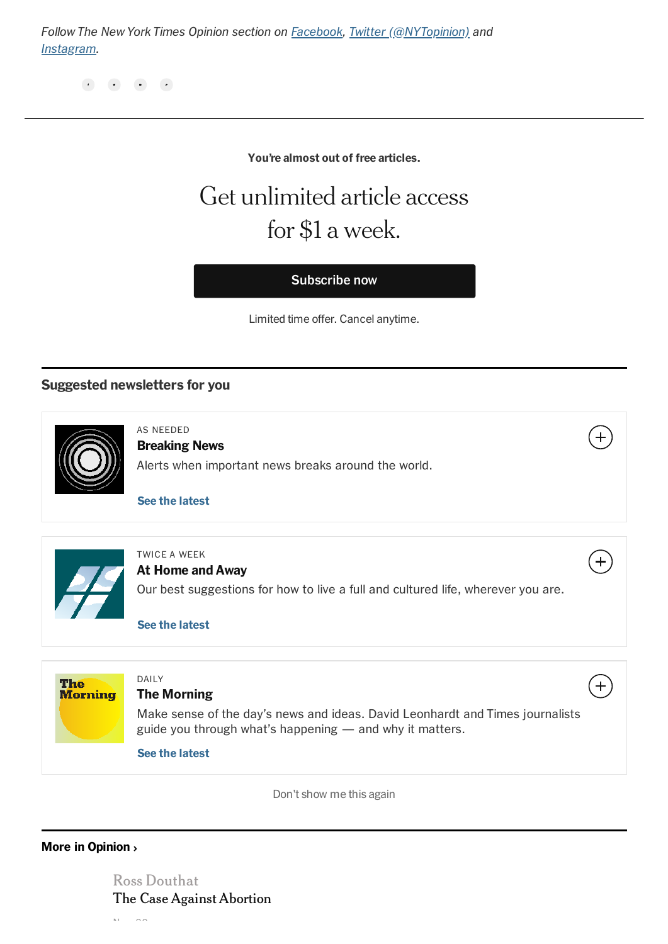Follow The New York Times Opinion section on [Facebook,](https://www.facebook.com/nytopinion) [Twitter \(@NYTopinion\)](http://twitter.com/NYTOpinion) and [Instagram.](https://www.instagram.com/nytopinion/)

#### You're almost out of free articles.

# Get unlimited article access for \$1 a week.

Subscribe now

Limited time offer. Cancel anytime.

## Suggested newsletters for you



AS NEEDED Breaking News Alerts when important news breaks around the world.

[See the latest](https://static.nytimes.com/email-content/NA_sample.html)



TWICE A WEEK

#### At Home and Away

Our best suggestions for how to live a full and cultured life, wherever you are.

 $\ddag$ 

 $+$ 

[See the latest](https://static.nytimes.com/email-content/AH_sample.html)



Don't show me this again

### [More in Opinion](https://www.nytimes.com/section/opinion) ›

[Ross Douthat](https://www.nytimes.com/2021/11/30/opinion/abortion-dobbs-supreme-court.html?action=click&algo=bandit-all-surfaces-time-cutoff-10&block=more_in_recirc&fellback=false&imp_id=676341258&impression_id=e8480ed0-525f-11ec-822b-43aa6e604d61&index=0&pgtype=Article&pool=more_in_pools%2Fopinion®ion=footer&req_id=151034146&surface=eos-more-in&variant=2_bandit-all-surfaces-time-cutoff-10) [The Case Against Abortion](https://www.nytimes.com/2021/11/30/opinion/abortion-dobbs-supreme-court.html?action=click&algo=bandit-all-surfaces-time-cutoff-10&block=more_in_recirc&fellback=false&imp_id=676341258&impression_id=e8480ed0-525f-11ec-822b-43aa6e604d61&index=0&pgtype=Article&pool=more_in_pools%2Fopinion®ion=footer&req_id=151034146&surface=eos-more-in&variant=2_bandit-all-surfaces-time-cutoff-10)